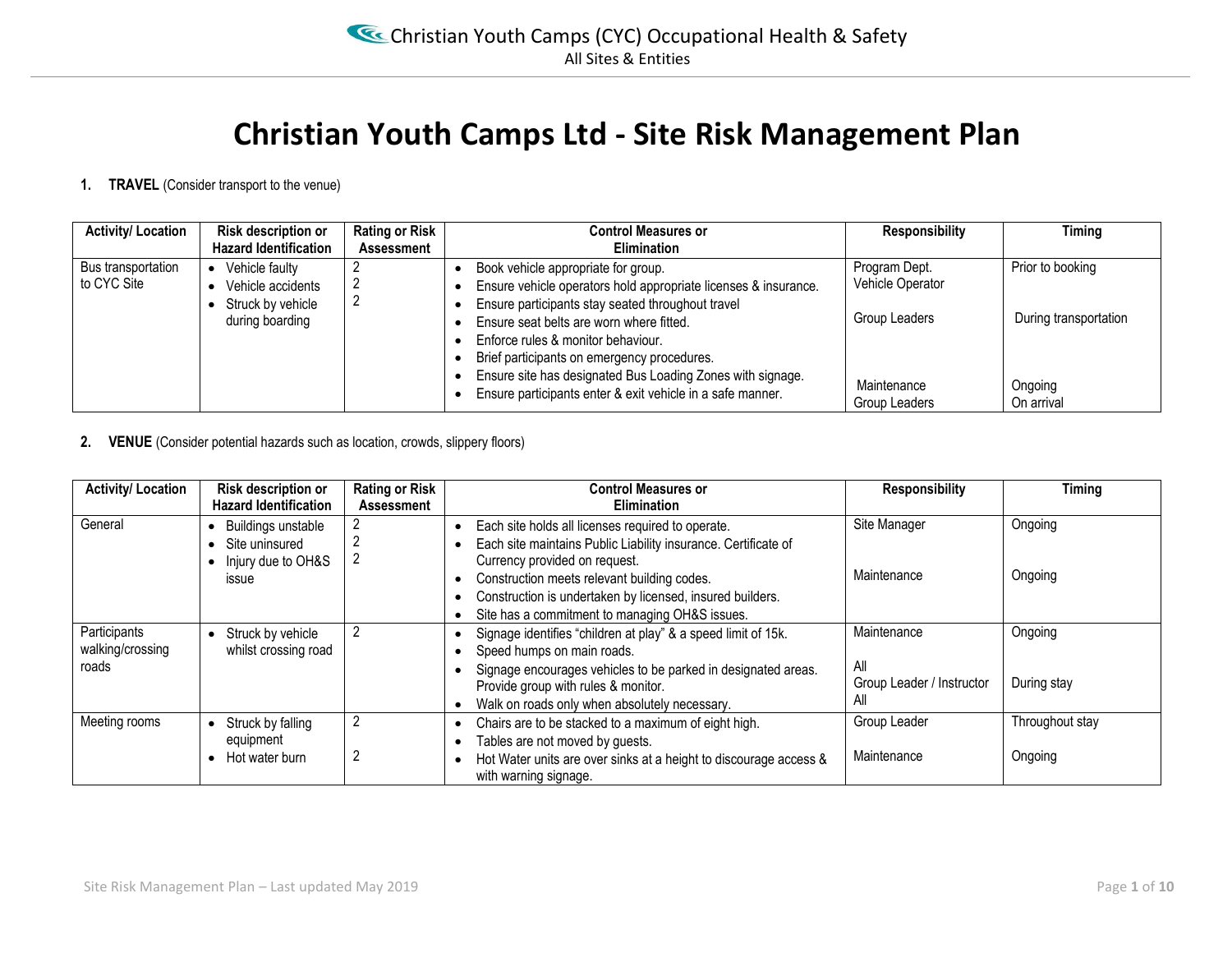# **Christian Youth Camps Ltd - Site Risk Management Plan**

**1. TRAVEL** (Consider transport to the venue)

| <b>Activity/Location</b>          | Risk description or                                      | <b>Rating or Risk</b> | <b>Control Measures or</b>                                                                                                                                  | <b>Responsibility</b>             | Timing                |
|-----------------------------------|----------------------------------------------------------|-----------------------|-------------------------------------------------------------------------------------------------------------------------------------------------------------|-----------------------------------|-----------------------|
|                                   | <b>Hazard Identification</b>                             | Assessment            | <b>Elimination</b>                                                                                                                                          |                                   |                       |
| Bus transportation<br>to CYC Site | Vehicle faulty<br>Vehicle accidents<br>Struck by vehicle |                       | Book vehicle appropriate for group.<br>Ensure vehicle operators hold appropriate licenses & insurance.<br>Ensure participants stay seated throughout travel | Program Dept.<br>Vehicle Operator | Prior to booking      |
|                                   | during boarding                                          |                       | Ensure seat belts are worn where fitted.<br>Enforce rules & monitor behaviour.<br>Brief participants on emergency procedures.                               | Group Leaders                     | During transportation |
|                                   |                                                          |                       | Ensure site has designated Bus Loading Zones with signage.<br>Ensure participants enter & exit vehicle in a safe manner.                                    | Maintenance<br>Group Leaders      | Ongoing<br>On arrival |

#### **2. VENUE** (Consider potential hazards such as location, crowds, slippery floors)

| <b>Activity/Location</b>                  | Risk description or<br><b>Hazard Identification</b>                 | <b>Rating or Risk</b><br><b>Assessment</b> | <b>Control Measures or</b><br><b>Elimination</b>                                                                                                                                                                                                                                                                   | <b>Responsibility</b>                                  | Timing                     |
|-------------------------------------------|---------------------------------------------------------------------|--------------------------------------------|--------------------------------------------------------------------------------------------------------------------------------------------------------------------------------------------------------------------------------------------------------------------------------------------------------------------|--------------------------------------------------------|----------------------------|
| General                                   | Buildings unstable<br>Site uninsured<br>Injury due to OH&S<br>issue |                                            | Each site holds all licenses required to operate.<br>Each site maintains Public Liability insurance. Certificate of<br>Currency provided on request.<br>Construction meets relevant building codes.<br>Construction is undertaken by licensed, insured builders.<br>Site has a commitment to managing OH&S issues. | Site Manager<br>Maintenance                            | Ongoing<br>Ongoing         |
| Participants<br>walking/crossing<br>roads | Struck by vehicle<br>whilst crossing road                           |                                            | Signage identifies "children at play" & a speed limit of 15k.<br>Speed humps on main roads.<br>Signage encourages vehicles to be parked in designated areas.<br>Provide group with rules & monitor.<br>Walk on roads only when absolutely necessary.<br>٠                                                          | Maintenance<br>All<br>Group Leader / Instructor<br>All | Ongoing<br>During stay     |
| Meeting rooms                             | Struck by falling<br>equipment<br>Hot water burn                    | $\overline{2}$                             | Chairs are to be stacked to a maximum of eight high.<br>Tables are not moved by guests.<br>٠<br>Hot Water units are over sinks at a height to discourage access &<br>with warning signage.                                                                                                                         | Group Leader<br>Maintenance                            | Throughout stay<br>Ongoing |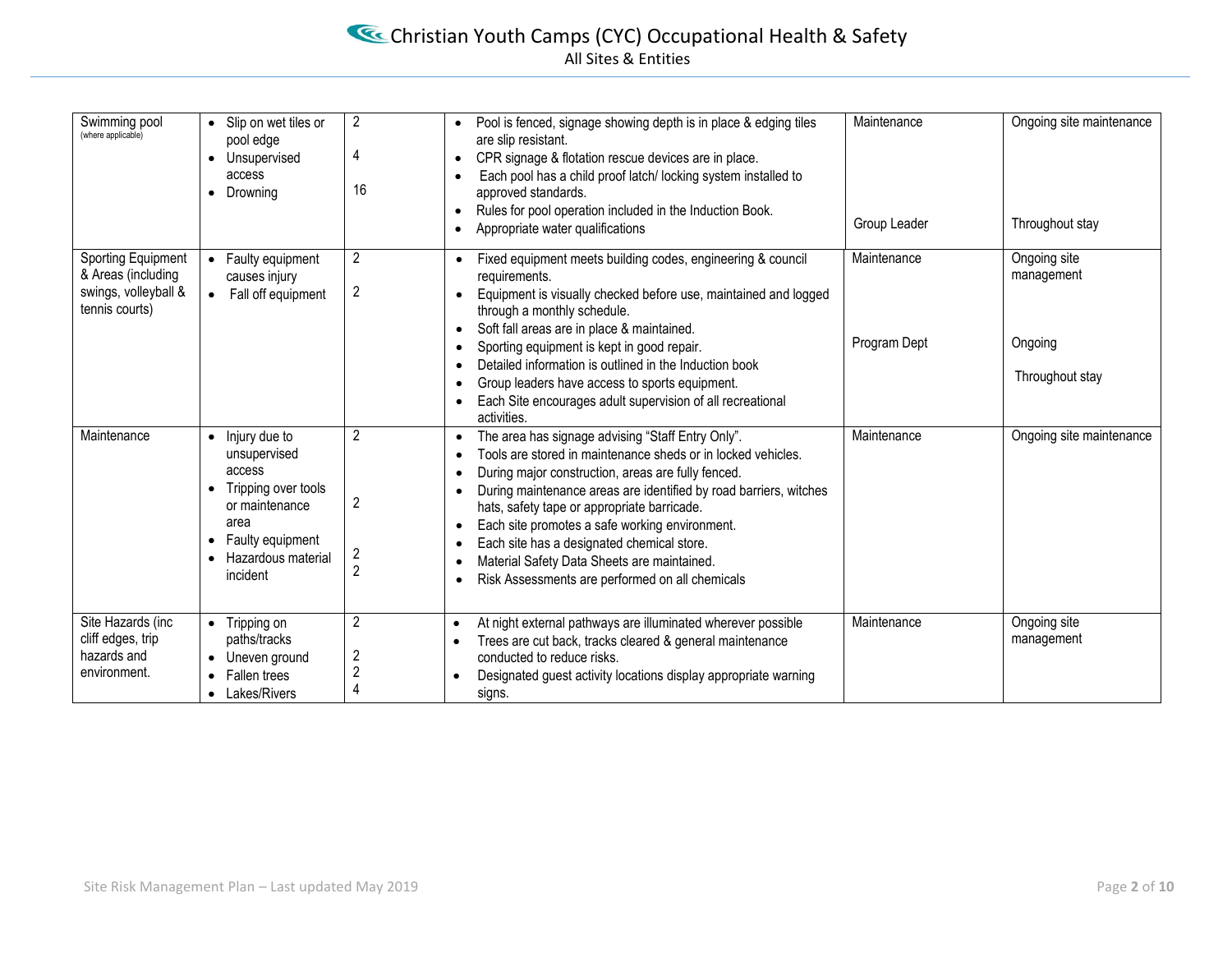# Christian Youth Camps (CYC) Occupational Health & Safety All Sites & Entities

| Swimming pool<br>(where applicable)                                                | Slip on wet tiles or<br>pool edge<br>• Unsupervised<br>access<br>• Drowning                                                                                | $\overline{2}$<br>4<br>16                  | Pool is fenced, signage showing depth is in place & edging tiles<br>are slip resistant.<br>CPR signage & flotation rescue devices are in place.<br>$\bullet$<br>Each pool has a child proof latch/locking system installed to<br>$\bullet$<br>approved standards.<br>Rules for pool operation included in the Induction Book.<br>$\bullet$<br>Appropriate water qualifications<br>$\bullet$                                                                                                                                                                                              | Maintenance<br>Group Leader | Ongoing site maintenance<br>Throughout stay              |
|------------------------------------------------------------------------------------|------------------------------------------------------------------------------------------------------------------------------------------------------------|--------------------------------------------|------------------------------------------------------------------------------------------------------------------------------------------------------------------------------------------------------------------------------------------------------------------------------------------------------------------------------------------------------------------------------------------------------------------------------------------------------------------------------------------------------------------------------------------------------------------------------------------|-----------------------------|----------------------------------------------------------|
| Sporting Equipment<br>& Areas (including<br>swings, volleyball &<br>tennis courts) | • Faulty equipment<br>causes injury<br>• Fall off equipment                                                                                                | $\overline{c}$<br>$\overline{2}$           | Fixed equipment meets building codes, engineering & council<br>requirements.<br>Equipment is visually checked before use, maintained and logged<br>$\bullet$<br>through a monthly schedule.<br>Soft fall areas are in place & maintained.<br>$\bullet$<br>Sporting equipment is kept in good repair.<br>$\bullet$<br>Detailed information is outlined in the Induction book<br>$\bullet$<br>Group leaders have access to sports equipment.<br>$\bullet$<br>Each Site encourages adult supervision of all recreational<br>$\bullet$<br>activities.                                        | Maintenance<br>Program Dept | Ongoing site<br>management<br>Ongoing<br>Throughout stay |
| Maintenance                                                                        | $\bullet$ Injury due to<br>unsupervised<br>access<br>Tripping over tools<br>or maintenance<br>area<br>• Faulty equipment<br>Hazardous material<br>incident | $\overline{2}$<br>2<br>2<br>$\overline{2}$ | The area has signage advising "Staff Entry Only".<br>$\bullet$<br>Tools are stored in maintenance sheds or in locked vehicles.<br>$\bullet$<br>During major construction, areas are fully fenced.<br>$\bullet$<br>During maintenance areas are identified by road barriers, witches<br>$\bullet$<br>hats, safety tape or appropriate barricade.<br>Each site promotes a safe working environment.<br>$\bullet$<br>Each site has a designated chemical store.<br>$\bullet$<br>Material Safety Data Sheets are maintained.<br>$\bullet$<br>Risk Assessments are performed on all chemicals | Maintenance                 | Ongoing site maintenance                                 |
| Site Hazards (inc<br>cliff edges, trip<br>hazards and<br>environment.              | • Tripping on<br>paths/tracks<br>Uneven ground<br>• Fallen trees<br>• Lakes/Rivers                                                                         | 2<br>$\overline{c}$<br>$\overline{2}$<br>4 | At night external pathways are illuminated wherever possible<br>$\bullet$<br>Trees are cut back, tracks cleared & general maintenance<br>$\bullet$<br>conducted to reduce risks.<br>Designated guest activity locations display appropriate warning<br>$\bullet$<br>signs.                                                                                                                                                                                                                                                                                                               | Maintenance                 | Ongoing site<br>management                               |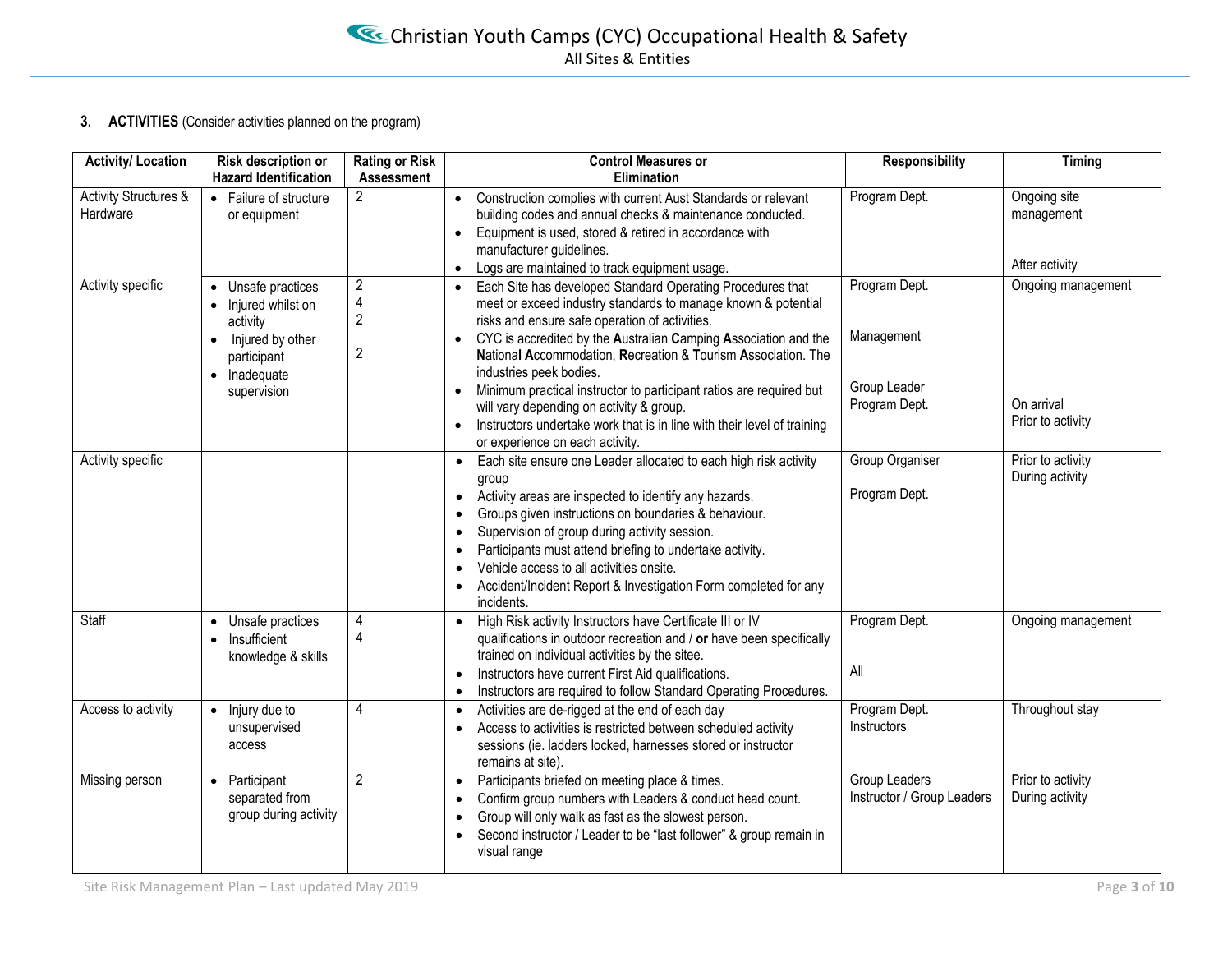#### **3. ACTIVITIES** (Consider activities planned on the program)

| <b>Activity/ Location</b>         | Risk description or<br><b>Hazard Identification</b>                 | <b>Rating or Risk</b><br><b>Assessment</b>              | <b>Control Measures or</b><br>Elimination                                                                                                                                                                                                                                                                                                                                                                                             | <b>Responsibility</b>                              | Timing                               |
|-----------------------------------|---------------------------------------------------------------------|---------------------------------------------------------|---------------------------------------------------------------------------------------------------------------------------------------------------------------------------------------------------------------------------------------------------------------------------------------------------------------------------------------------------------------------------------------------------------------------------------------|----------------------------------------------------|--------------------------------------|
| Activity Structures &<br>Hardware | • Failure of structure<br>or equipment                              | $\overline{2}$                                          | Construction complies with current Aust Standards or relevant<br>$\bullet$<br>building codes and annual checks & maintenance conducted.<br>Equipment is used, stored & retired in accordance with<br>$\bullet$<br>manufacturer guidelines.                                                                                                                                                                                            | Program Dept.                                      | Ongoing site<br>management           |
|                                   |                                                                     |                                                         | Logs are maintained to track equipment usage.<br>$\bullet$                                                                                                                                                                                                                                                                                                                                                                            |                                                    | After activity                       |
| Activity specific                 | Unsafe practices<br>$\bullet$<br>Injured whilst on<br>activity      | $\overline{2}$<br>$\overline{\mathbf{4}}$<br>$\sqrt{2}$ | Each Site has developed Standard Operating Procedures that<br>$\bullet$<br>meet or exceed industry standards to manage known & potential<br>risks and ensure safe operation of activities.                                                                                                                                                                                                                                            | Program Dept.                                      | Ongoing management                   |
|                                   | Injured by other<br>$\bullet$<br>participant<br>• Inadequate        | $\overline{2}$                                          | CYC is accredited by the Australian Camping Association and the<br>$\bullet$<br>National Accommodation, Recreation & Tourism Association. The<br>industries peek bodies.                                                                                                                                                                                                                                                              | Management                                         |                                      |
|                                   | supervision                                                         |                                                         | Minimum practical instructor to participant ratios are required but<br>$\bullet$<br>will vary depending on activity & group.<br>Instructors undertake work that is in line with their level of training<br>$\bullet$<br>or experience on each activity.                                                                                                                                                                               | Group Leader<br>Program Dept.                      | On arrival<br>Prior to activity      |
| Activity specific                 |                                                                     |                                                         | Each site ensure one Leader allocated to each high risk activity<br>group                                                                                                                                                                                                                                                                                                                                                             | <b>Group Organiser</b>                             | Prior to activity<br>During activity |
|                                   |                                                                     |                                                         | Activity areas are inspected to identify any hazards.<br>$\bullet$<br>Groups given instructions on boundaries & behaviour.<br>$\bullet$<br>Supervision of group during activity session.<br>$\bullet$<br>Participants must attend briefing to undertake activity.<br>$\bullet$<br>Vehicle access to all activities onsite.<br>$\bullet$<br>Accident/Incident Report & Investigation Form completed for any<br>$\bullet$<br>incidents. | Program Dept.                                      |                                      |
| Staff                             | Unsafe practices<br>Insufficient<br>$\bullet$<br>knowledge & skills | 4<br>$\overline{4}$                                     | High Risk activity Instructors have Certificate III or IV<br>$\bullet$<br>qualifications in outdoor recreation and / or have been specifically<br>trained on individual activities by the sitee.<br>Instructors have current First Aid qualifications.<br>$\bullet$<br>Instructors are required to follow Standard Operating Procedures.<br>$\bullet$                                                                                 | Program Dept.<br>All                               | Ongoing management                   |
| Access to activity                | Injury due to<br>$\bullet$<br>unsupervised<br>access                | 4                                                       | Activities are de-rigged at the end of each day<br>$\bullet$<br>Access to activities is restricted between scheduled activity<br>sessions (ie. ladders locked, harnesses stored or instructor<br>remains at site).                                                                                                                                                                                                                    | Program Dept.<br>Instructors                       | Throughout stay                      |
| Missing person                    | Participant<br>$\bullet$<br>separated from<br>group during activity | $\overline{2}$                                          | Participants briefed on meeting place & times.<br>$\bullet$<br>Confirm group numbers with Leaders & conduct head count.<br>$\bullet$<br>Group will only walk as fast as the slowest person.<br>$\bullet$<br>Second instructor / Leader to be "last follower" & group remain in<br>visual range                                                                                                                                        | <b>Group Leaders</b><br>Instructor / Group Leaders | Prior to activity<br>During activity |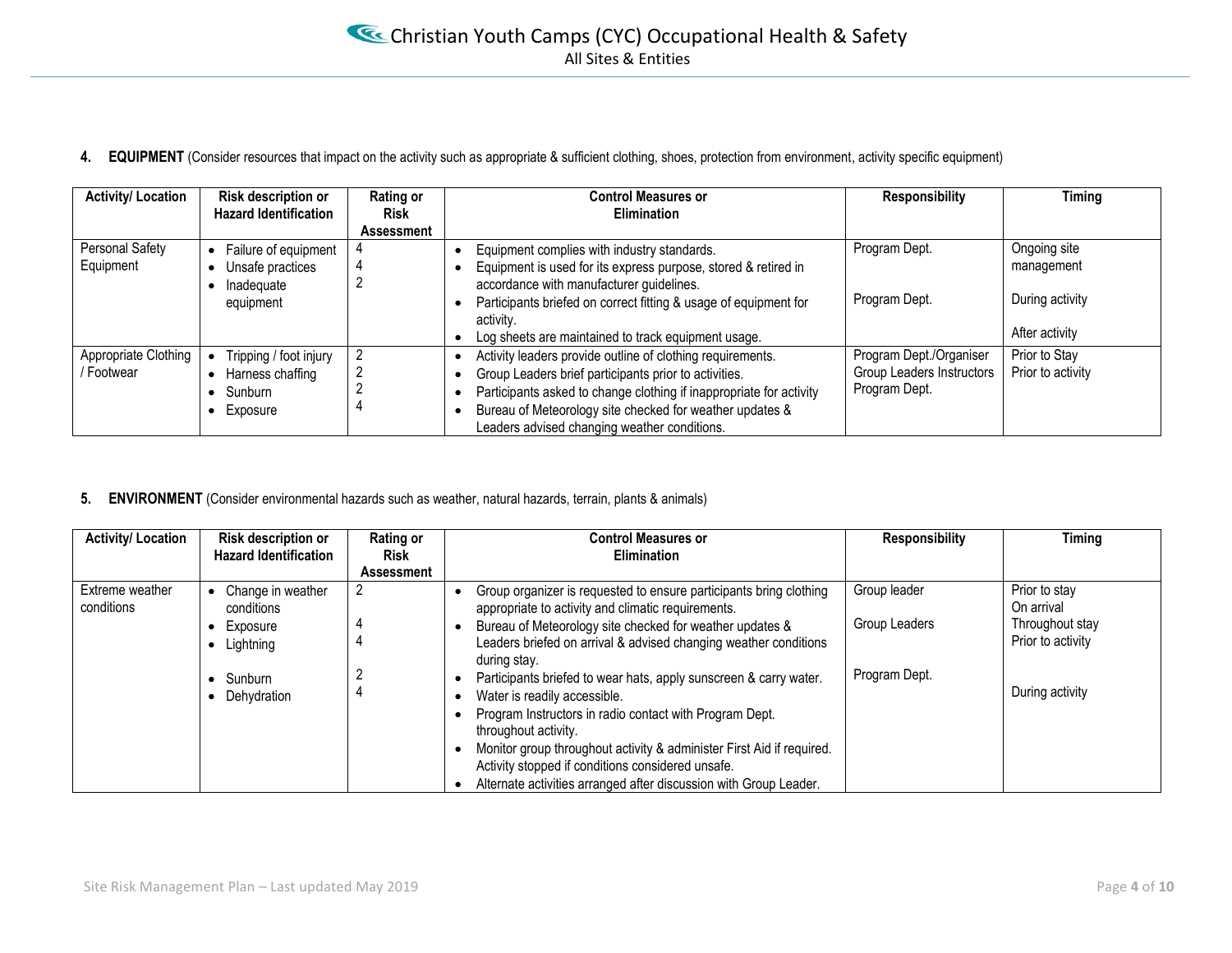4. **EQUIPMENT** (Consider resources that impact on the activity such as appropriate & sufficient clothing, shoes, protection from environment, activity specific equipment)

| <b>Activity/ Location</b> | Risk description or               | Rating or   | <b>Control Measures or</b>                                          | Responsibility            | Timing            |
|---------------------------|-----------------------------------|-------------|---------------------------------------------------------------------|---------------------------|-------------------|
|                           | <b>Hazard Identification</b>      | <b>Risk</b> | <b>Elimination</b>                                                  |                           |                   |
|                           |                                   | Assessment  |                                                                     |                           |                   |
| Personal Safety           | Failure of equipment<br>$\bullet$ |             | Equipment complies with industry standards.                         | Program Dept.             | Ongoing site      |
| Equipment                 | Unsafe practices                  |             | Equipment is used for its express purpose, stored & retired in      |                           | management        |
|                           | Inadeguate                        |             | accordance with manufacturer guidelines.                            |                           |                   |
|                           | equipment                         |             | Participants briefed on correct fitting & usage of equipment for    | Program Dept.             | During activity   |
|                           |                                   |             | activity.                                                           |                           |                   |
|                           |                                   |             | Log sheets are maintained to track equipment usage.                 |                           | After activity    |
| Appropriate Clothing      | Tripping / foot injury            |             | Activity leaders provide outline of clothing requirements.          | Program Dept./Organiser   | Prior to Stay     |
| / Footwear                | Harness chaffing                  | 2           | Group Leaders brief participants prior to activities.               | Group Leaders Instructors | Prior to activity |
|                           | Sunburn                           |             | Participants asked to change clothing if inappropriate for activity | Program Dept.             |                   |
|                           | Exposure                          |             | Bureau of Meteorology site checked for weather updates &            |                           |                   |
|                           |                                   |             | Leaders advised changing weather conditions.                        |                           |                   |

#### **5. ENVIRONMENT** (Consider environmental hazards such as weather, natural hazards, terrain, plants & animals)

| <b>Activity/ Location</b>     | Risk description or<br><b>Hazard Identification</b>      | Rating or<br><b>Risk</b><br><b>Assessment</b> | <b>Control Measures or</b><br><b>Elimination</b>                                                                                                                                                                                                                                                                                                                                        | <b>Responsibility</b>         | Timing                                                              |
|-------------------------------|----------------------------------------------------------|-----------------------------------------------|-----------------------------------------------------------------------------------------------------------------------------------------------------------------------------------------------------------------------------------------------------------------------------------------------------------------------------------------------------------------------------------------|-------------------------------|---------------------------------------------------------------------|
| Extreme weather<br>conditions | Change in weather<br>conditions<br>Exposure<br>Lightning | 2                                             | Group organizer is requested to ensure participants bring clothing<br>appropriate to activity and climatic requirements.<br>Bureau of Meteorology site checked for weather updates &<br>Leaders briefed on arrival & advised changing weather conditions<br>during stay.                                                                                                                | Group leader<br>Group Leaders | Prior to stay<br>On arrival<br>Throughout stay<br>Prior to activity |
|                               | Sunburn<br>Dehydration                                   |                                               | Participants briefed to wear hats, apply sunscreen & carry water.<br>Water is readily accessible.<br>Program Instructors in radio contact with Program Dept.<br>throughout activity.<br>Monitor group throughout activity & administer First Aid if required.<br>Activity stopped if conditions considered unsafe.<br>Alternate activities arranged after discussion with Group Leader. | Program Dept.                 | During activity                                                     |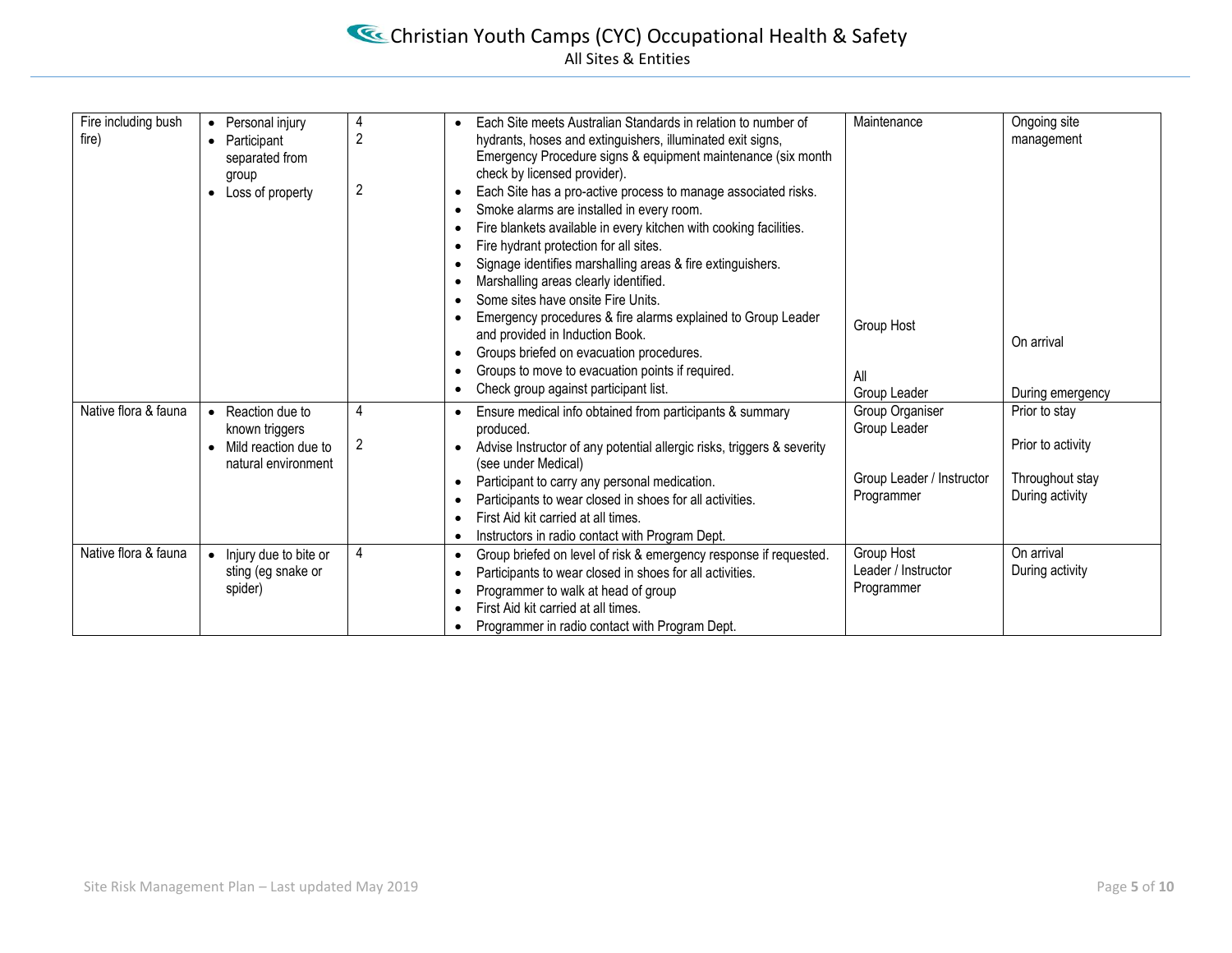# Christian Youth Camps (CYC) Occupational Health & Safety All Sites & Entities

| Fire including bush<br>fire) | • Personal injury<br>• Participant<br>separated from<br>group<br>• Loss of property                        | 4<br>2<br>2         | Each Site meets Australian Standards in relation to number of<br>$\bullet$<br>hydrants, hoses and extinguishers, illuminated exit signs,<br>Emergency Procedure signs & equipment maintenance (six month<br>check by licensed provider).<br>Each Site has a pro-active process to manage associated risks.<br>$\bullet$<br>Smoke alarms are installed in every room.<br>$\bullet$<br>Fire blankets available in every kitchen with cooking facilities.<br>$\bullet$<br>Fire hydrant protection for all sites.<br>$\bullet$<br>Signage identifies marshalling areas & fire extinguishers.<br>$\bullet$<br>Marshalling areas clearly identified.<br>$\bullet$<br>Some sites have onsite Fire Units.<br>$\bullet$ | Maintenance                                                                | Ongoing site<br>management                                               |
|------------------------------|------------------------------------------------------------------------------------------------------------|---------------------|----------------------------------------------------------------------------------------------------------------------------------------------------------------------------------------------------------------------------------------------------------------------------------------------------------------------------------------------------------------------------------------------------------------------------------------------------------------------------------------------------------------------------------------------------------------------------------------------------------------------------------------------------------------------------------------------------------------|----------------------------------------------------------------------------|--------------------------------------------------------------------------|
|                              |                                                                                                            |                     | Emergency procedures & fire alarms explained to Group Leader<br>$\bullet$<br>and provided in Induction Book.<br>Groups briefed on evacuation procedures.<br>$\bullet$<br>Groups to move to evacuation points if required.<br>$\bullet$<br>Check group against participant list.<br>$\bullet$                                                                                                                                                                                                                                                                                                                                                                                                                   | Group Host<br>All<br>Group Leader                                          | On arrival<br>During emergency                                           |
| Native flora & fauna         | Reaction due to<br>$\bullet$<br>known triggers<br>Mild reaction due to<br>$\bullet$<br>natural environment | 4<br>$\overline{2}$ | Ensure medical info obtained from participants & summary<br>$\bullet$<br>produced.<br>Advise Instructor of any potential allergic risks, triggers & severity<br>$\bullet$<br>(see under Medical)<br>Participant to carry any personal medication.<br>$\bullet$<br>Participants to wear closed in shoes for all activities.<br>٠<br>First Aid kit carried at all times.<br>٠<br>Instructors in radio contact with Program Dept.<br>$\bullet$                                                                                                                                                                                                                                                                    | Group Organiser<br>Group Leader<br>Group Leader / Instructor<br>Programmer | Prior to stay<br>Prior to activity<br>Throughout stay<br>During activity |
| Native flora & fauna         | Injury due to bite or<br>sting (eg snake or<br>spider)                                                     | 4                   | Group briefed on level of risk & emergency response if requested.<br>$\bullet$<br>Participants to wear closed in shoes for all activities.<br>$\bullet$<br>Programmer to walk at head of group<br>٠<br>First Aid kit carried at all times.<br>$\bullet$<br>Programmer in radio contact with Program Dept.                                                                                                                                                                                                                                                                                                                                                                                                      | Group Host<br>Leader / Instructor<br>Programmer                            | On arrival<br>During activity                                            |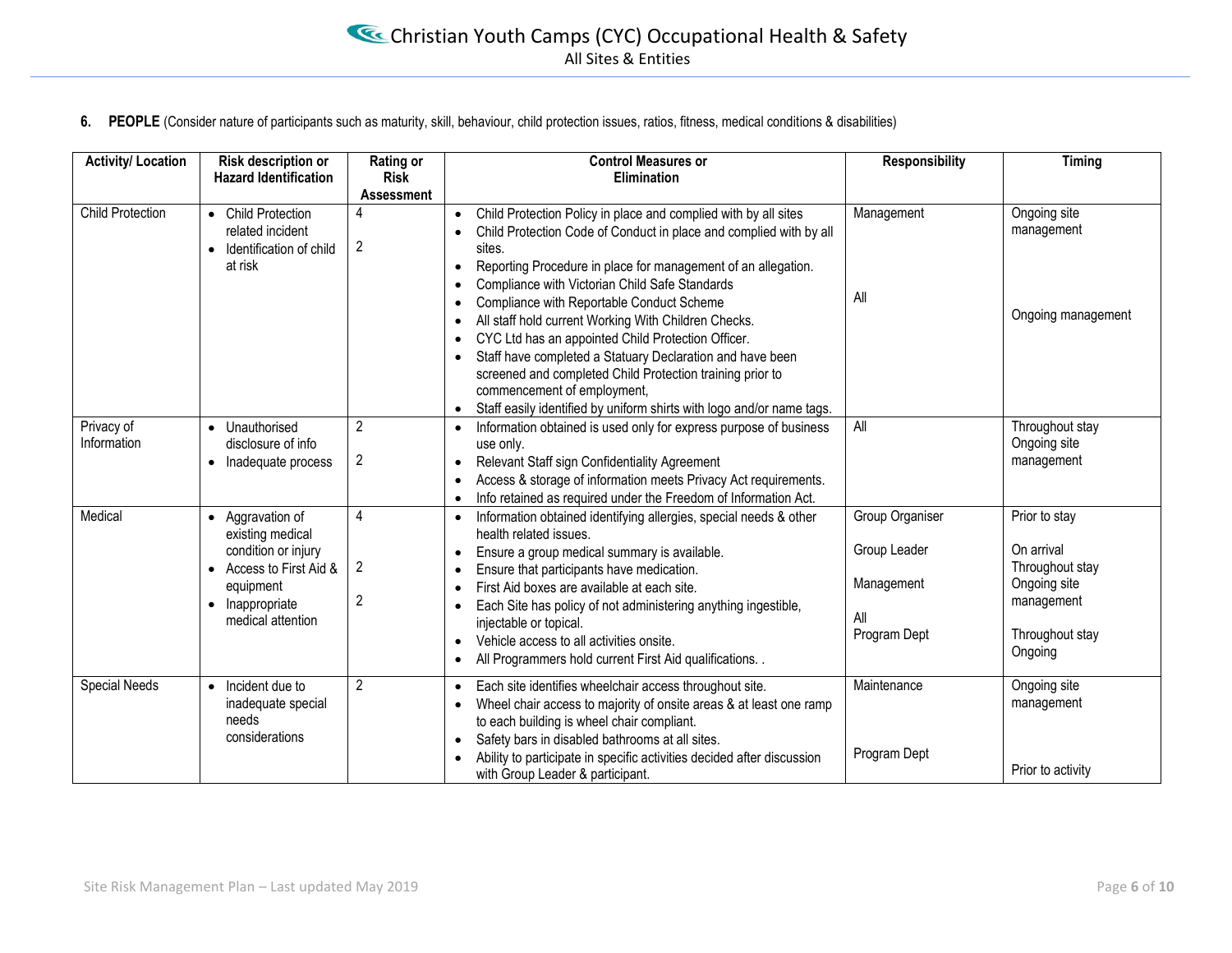**6. PEOPLE** (Consider nature of participants such as maturity, skill, behaviour, child protection issues, ratios, fitness, medical conditions & disabilities)

| <b>Activity/ Location</b> | Risk description or<br><b>Hazard Identification</b>                                                                                         | <b>Rating or</b><br><b>Risk</b><br><b>Assessment</b> | <b>Control Measures or</b><br>Elimination                                                                                                                                                                                                                                                                                                                                                                                                                                                                                                                                                                                                                                                                                                                                            | <b>Responsibility</b>                                                | <b>Timing</b>                                                                                              |
|---------------------------|---------------------------------------------------------------------------------------------------------------------------------------------|------------------------------------------------------|--------------------------------------------------------------------------------------------------------------------------------------------------------------------------------------------------------------------------------------------------------------------------------------------------------------------------------------------------------------------------------------------------------------------------------------------------------------------------------------------------------------------------------------------------------------------------------------------------------------------------------------------------------------------------------------------------------------------------------------------------------------------------------------|----------------------------------------------------------------------|------------------------------------------------------------------------------------------------------------|
| <b>Child Protection</b>   | • Child Protection<br>related incident<br>Identification of child<br>$\bullet$<br>at risk                                                   | $\overline{2}$                                       | Child Protection Policy in place and complied with by all sites<br>$\bullet$<br>Child Protection Code of Conduct in place and complied with by all<br>$\bullet$<br>sites.<br>Reporting Procedure in place for management of an allegation.<br>$\bullet$<br>Compliance with Victorian Child Safe Standards<br>$\bullet$<br>Compliance with Reportable Conduct Scheme<br>$\bullet$<br>All staff hold current Working With Children Checks.<br>$\bullet$<br>CYC Ltd has an appointed Child Protection Officer.<br>$\bullet$<br>Staff have completed a Statuary Declaration and have been<br>$\bullet$<br>screened and completed Child Protection training prior to<br>commencement of employment,<br>Staff easily identified by uniform shirts with logo and/or name tags.<br>$\bullet$ | Management<br>All                                                    | Ongoing site<br>management<br>Ongoing management                                                           |
| Privacy of<br>Information | Unauthorised<br>disclosure of info<br>Inadequate process<br>$\bullet$                                                                       | $\overline{2}$<br>2                                  | Information obtained is used only for express purpose of business<br>$\bullet$<br>use only.<br>Relevant Staff sign Confidentiality Agreement<br>$\bullet$<br>Access & storage of information meets Privacy Act requirements.<br>$\bullet$<br>Info retained as required under the Freedom of Information Act.<br>$\bullet$                                                                                                                                                                                                                                                                                                                                                                                                                                                            | All                                                                  | Throughout stay<br>Ongoing site<br>management                                                              |
| Medical                   | • Aggravation of<br>existing medical<br>condition or injury<br>• Access to First Aid &<br>equipment<br>• Inappropriate<br>medical attention | 4<br>2<br>$\overline{c}$                             | Information obtained identifying allergies, special needs & other<br>$\bullet$<br>health related issues.<br>Ensure a group medical summary is available.<br>$\bullet$<br>Ensure that participants have medication.<br>$\bullet$<br>First Aid boxes are available at each site.<br>$\bullet$<br>Each Site has policy of not administering anything ingestible,<br>$\bullet$<br>injectable or topical.<br>Vehicle access to all activities onsite.<br>$\bullet$<br>All Programmers hold current First Aid qualifications. .<br>$\bullet$                                                                                                                                                                                                                                               | Group Organiser<br>Group Leader<br>Management<br>All<br>Program Dept | Prior to stay<br>On arrival<br>Throughout stay<br>Ongoing site<br>management<br>Throughout stay<br>Ongoing |
| Special Needs             | Incident due to<br>$\bullet$<br>inadequate special<br>needs<br>considerations                                                               | $\overline{2}$                                       | Each site identifies wheelchair access throughout site.<br>$\bullet$<br>Wheel chair access to majority of onsite areas & at least one ramp<br>$\bullet$<br>to each building is wheel chair compliant.<br>Safety bars in disabled bathrooms at all sites.<br>$\bullet$<br>Ability to participate in specific activities decided after discussion<br>$\bullet$<br>with Group Leader & participant.                                                                                                                                                                                                                                                                                                                                                                                     | Maintenance<br>Program Dept                                          | Ongoing site<br>management<br>Prior to activity                                                            |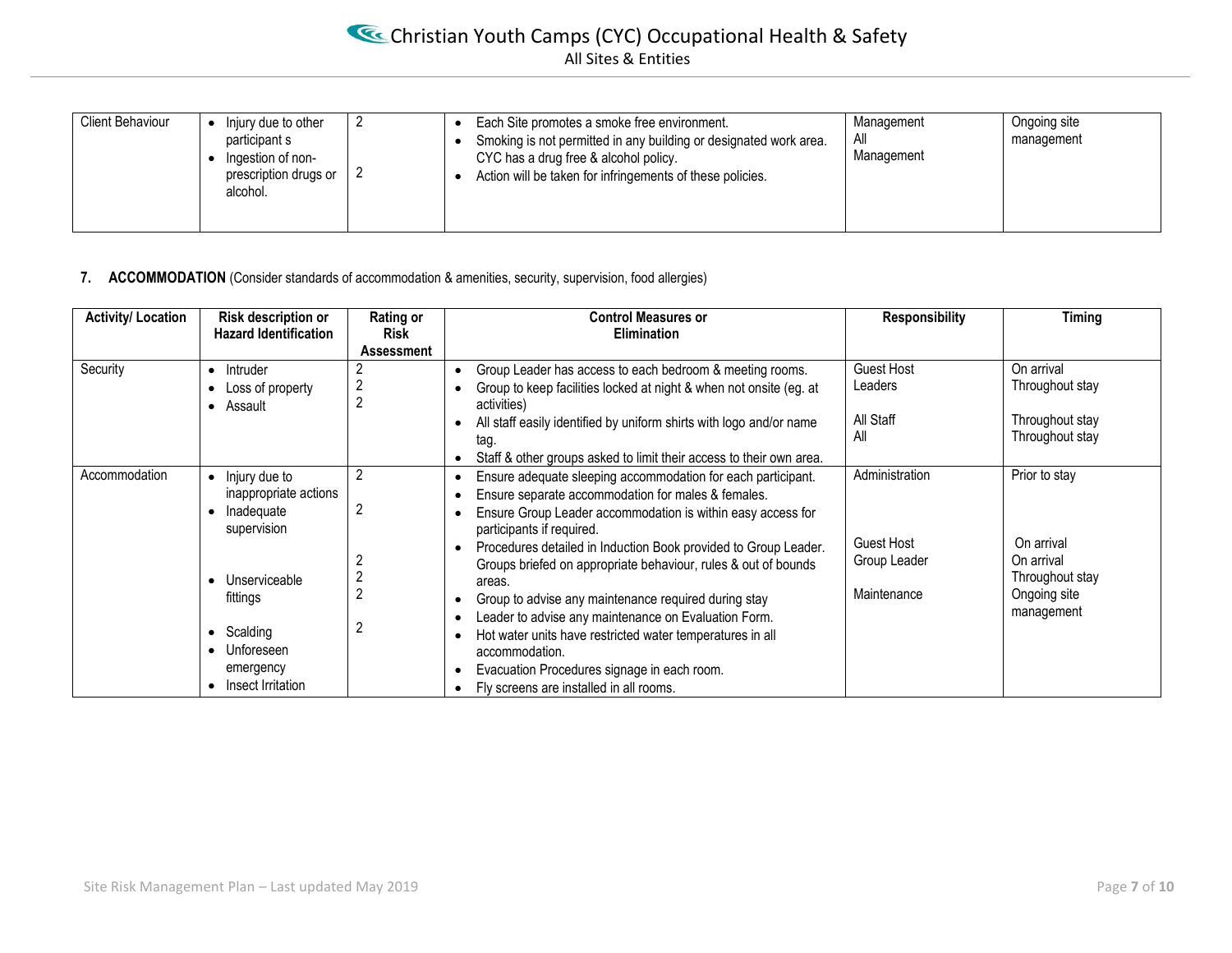# Christian Youth Camps (CYC) Occupational Health & Safety All Sites & Entities

| <b>Client Behaviour</b><br>Injury due to other<br>participant s<br>Ingestion of non-<br>prescription drugs or<br>alcohol. | Each Site promotes a smoke free environment.<br>Smoking is not permitted in any building or designated work area.<br>CYC has a drug free & alcohol policy.<br>Action will be taken for infringements of these policies. | Management<br>All<br>Management | Ongoing site<br>management |
|---------------------------------------------------------------------------------------------------------------------------|-------------------------------------------------------------------------------------------------------------------------------------------------------------------------------------------------------------------------|---------------------------------|----------------------------|
|---------------------------------------------------------------------------------------------------------------------------|-------------------------------------------------------------------------------------------------------------------------------------------------------------------------------------------------------------------------|---------------------------------|----------------------------|

#### **7. ACCOMMODATION** (Consider standards of accommodation & amenities, security, supervision, food allergies)

| <b>Activity/ Location</b> | Risk description or<br><b>Hazard Identification</b>                                                  | Rating or<br><b>Risk</b> | <b>Control Measures or</b><br><b>Elimination</b>                                                                                                                                                                                                                                                                                                                                                                                                                                      | <b>Responsibility</b>                            | Timing                                                                    |
|---------------------------|------------------------------------------------------------------------------------------------------|--------------------------|---------------------------------------------------------------------------------------------------------------------------------------------------------------------------------------------------------------------------------------------------------------------------------------------------------------------------------------------------------------------------------------------------------------------------------------------------------------------------------------|--------------------------------------------------|---------------------------------------------------------------------------|
|                           |                                                                                                      | Assessment               |                                                                                                                                                                                                                                                                                                                                                                                                                                                                                       |                                                  |                                                                           |
| Security                  | Intruder<br>$\bullet$<br>• Loss of property<br>• Assault                                             |                          | Group Leader has access to each bedroom & meeting rooms.<br>$\bullet$<br>Group to keep facilities locked at night & when not onsite (eg. at<br>activities)<br>All staff easily identified by uniform shirts with logo and/or name<br>tag.                                                                                                                                                                                                                                             | <b>Guest Host</b><br>Leaders<br>All Staff<br>All | On arrival<br>Throughout stay<br>Throughout stay<br>Throughout stay       |
|                           |                                                                                                      |                          | Staff & other groups asked to limit their access to their own area.<br>٠                                                                                                                                                                                                                                                                                                                                                                                                              |                                                  |                                                                           |
| Accommodation             | Injury due to<br>inappropriate actions<br>Inadequate<br>supervision                                  | 2                        | Ensure adequate sleeping accommodation for each participant.<br>$\bullet$<br>Ensure separate accommodation for males & females.<br>٠<br>Ensure Group Leader accommodation is within easy access for<br>٠<br>participants if required.                                                                                                                                                                                                                                                 | Administration                                   | Prior to stay                                                             |
|                           | Unserviceable<br>fittings<br>• Scalding<br>Unforeseen<br>$\bullet$<br>emergency<br>Insect Irritation |                          | Procedures detailed in Induction Book provided to Group Leader.<br>$\bullet$<br>Groups briefed on appropriate behaviour, rules & out of bounds<br>areas.<br>Group to advise any maintenance required during stay<br>$\bullet$<br>Leader to advise any maintenance on Evaluation Form.<br>٠<br>Hot water units have restricted water temperatures in all<br>$\bullet$<br>accommodation.<br>Evacuation Procedures signage in each room.<br>٠<br>Fly screens are installed in all rooms. | <b>Guest Host</b><br>Group Leader<br>Maintenance | On arrival<br>On arrival<br>Throughout stay<br>Ongoing site<br>management |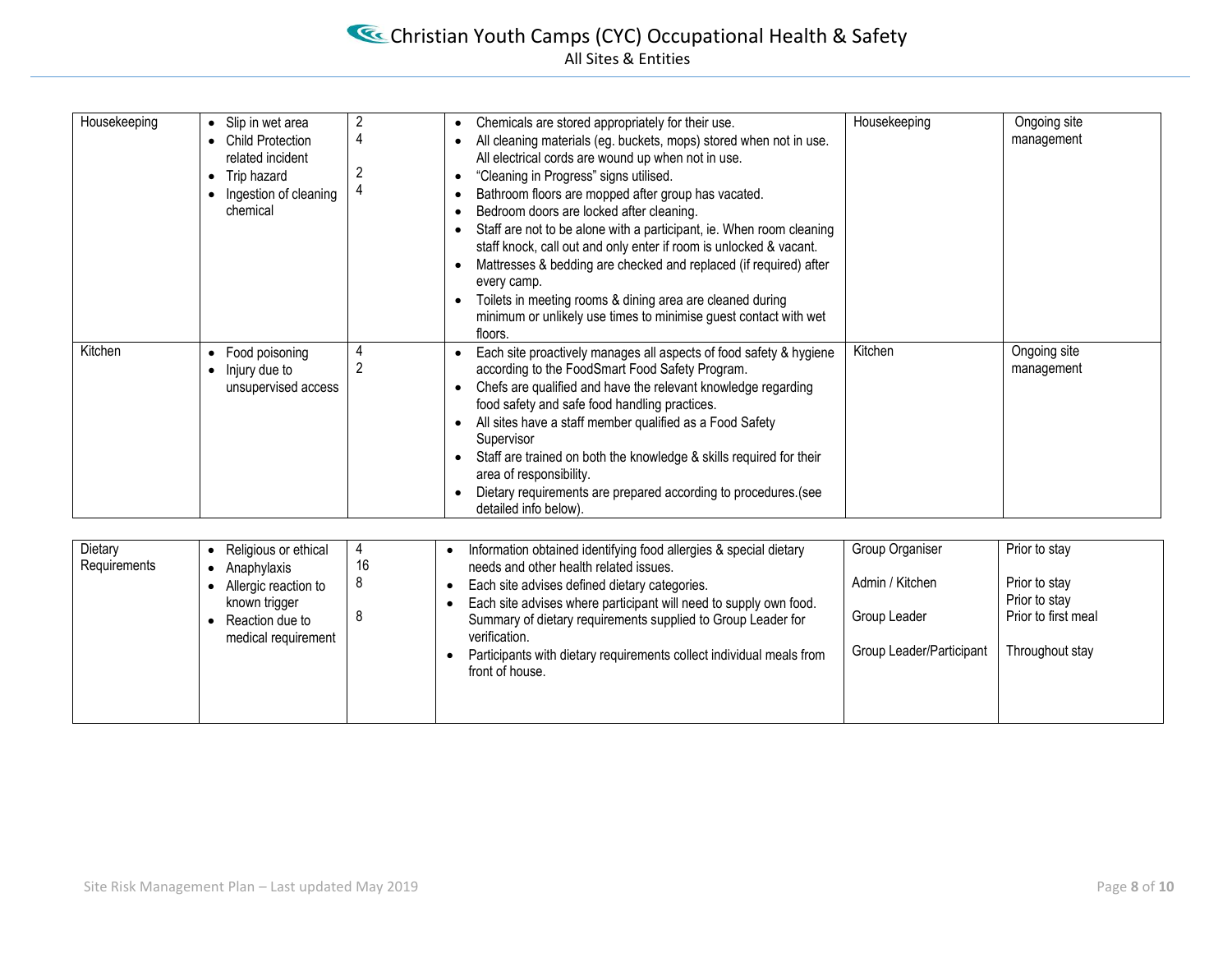| Housekeeping | • Slip in wet area<br><b>Child Protection</b><br>related incident<br>Trip hazard<br>Ingestion of cleaning<br>chemical | 2<br>4<br>2         | Chemicals are stored appropriately for their use.<br>All cleaning materials (eg. buckets, mops) stored when not in use.<br>All electrical cords are wound up when not in use.<br>"Cleaning in Progress" signs utilised.<br>Bathroom floors are mopped after group has vacated.<br>Bedroom doors are locked after cleaning.<br>Staff are not to be alone with a participant, ie. When room cleaning<br>staff knock, call out and only enter if room is unlocked & vacant.<br>Mattresses & bedding are checked and replaced (if required) after<br>$\bullet$<br>every camp.<br>Toilets in meeting rooms & dining area are cleaned during<br>$\bullet$<br>minimum or unlikely use times to minimise guest contact with wet<br>floors. | Housekeeping | Ongoing site<br>management |
|--------------|-----------------------------------------------------------------------------------------------------------------------|---------------------|------------------------------------------------------------------------------------------------------------------------------------------------------------------------------------------------------------------------------------------------------------------------------------------------------------------------------------------------------------------------------------------------------------------------------------------------------------------------------------------------------------------------------------------------------------------------------------------------------------------------------------------------------------------------------------------------------------------------------------|--------------|----------------------------|
| Kitchen      | Food poisoning<br>$\bullet$<br>$\bullet$ Injury due to<br>unsupervised access                                         | 4<br>$\overline{2}$ | Each site proactively manages all aspects of food safety & hygiene<br>according to the FoodSmart Food Safety Program.<br>Chefs are qualified and have the relevant knowledge regarding<br>$\bullet$<br>food safety and safe food handling practices.<br>All sites have a staff member qualified as a Food Safety<br>$\bullet$<br>Supervisor<br>Staff are trained on both the knowledge & skills required for their<br>area of responsibility.<br>Dietary requirements are prepared according to procedures. (see<br>detailed info below).                                                                                                                                                                                          | Kitchen      | Ongoing site<br>management |

| Dietary<br>Requirements | Religious or ethical<br>Anaphylaxis                                             | 16 | Information obtained identifying food allergies & special dietary<br>needs and other health related issues.                                                                                         | Group Organiser                 | Prior to stay                                         |
|-------------------------|---------------------------------------------------------------------------------|----|-----------------------------------------------------------------------------------------------------------------------------------------------------------------------------------------------------|---------------------------------|-------------------------------------------------------|
|                         | Allergic reaction to<br>known trigger<br>Reaction due to<br>medical requirement | 8  | Each site advises defined dietary categories.<br>Each site advises where participant will need to supply own food.<br>Summary of dietary requirements supplied to Group Leader for<br>verification. | Admin / Kitchen<br>Group Leader | Prior to stay<br>Prior to stay<br>Prior to first meal |
|                         |                                                                                 |    | Participants with dietary requirements collect individual meals from<br>front of house.                                                                                                             | Group Leader/Participant        | Throughout stay                                       |
|                         |                                                                                 |    |                                                                                                                                                                                                     |                                 |                                                       |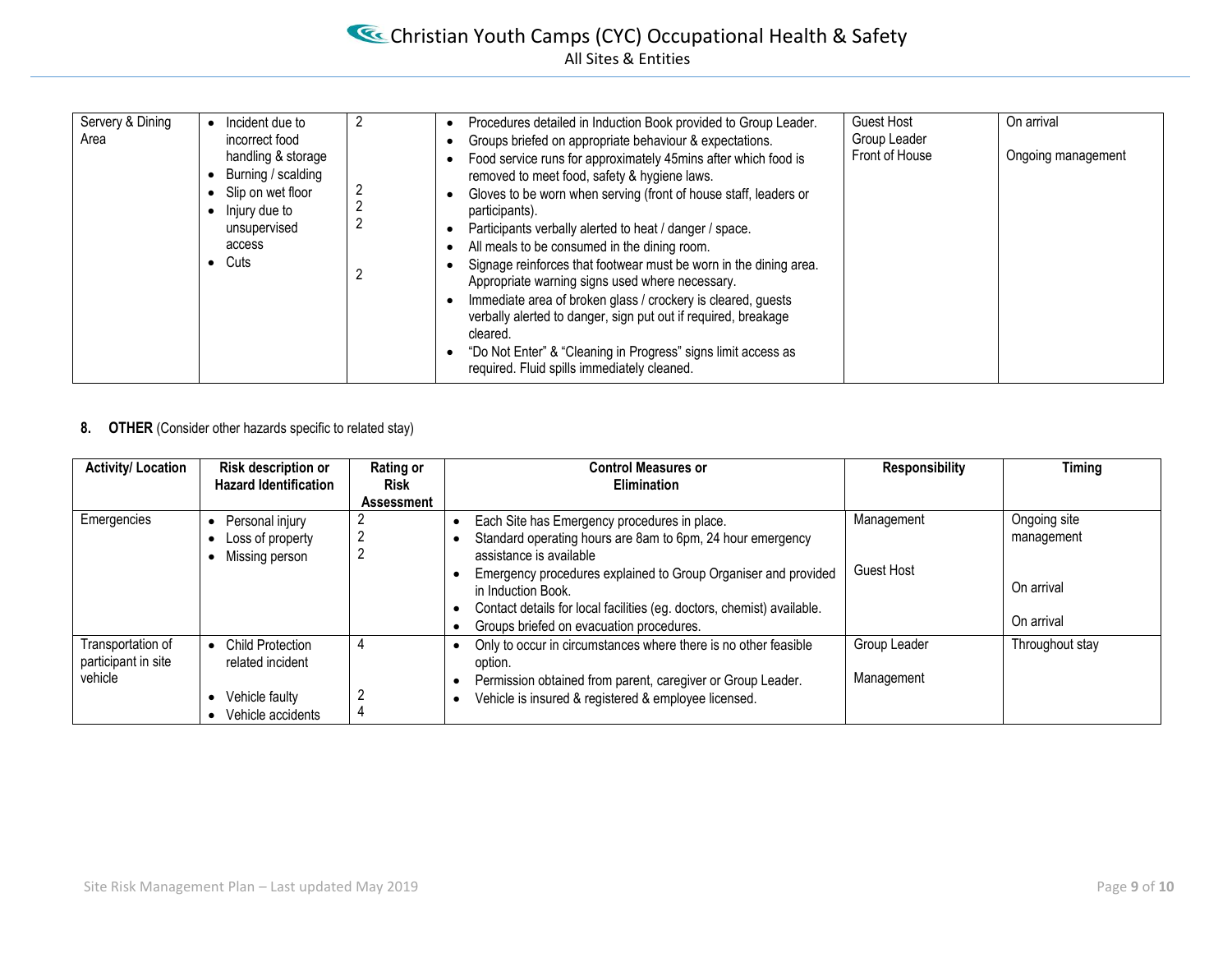| Front of House<br>handling & storage<br>Ongoing management<br>Food service runs for approximately 45mins after which food is<br>Burning / scalding<br>removed to meet food, safety & hygiene laws.<br>Slip on wet floor<br>Gloves to be worn when serving (front of house staff, leaders or<br>Injury due to<br>participants).<br>unsupervised<br>Participants verbally alerted to heat / danger / space. | Servery & Dining<br>Area | Incident due to<br>incorrect food | Procedures detailed in Induction Book provided to Group Leader.<br>Groups briefed on appropriate behaviour & expectations. | <b>Guest Host</b><br>Group Leader | On arrival |
|-----------------------------------------------------------------------------------------------------------------------------------------------------------------------------------------------------------------------------------------------------------------------------------------------------------------------------------------------------------------------------------------------------------|--------------------------|-----------------------------------|----------------------------------------------------------------------------------------------------------------------------|-----------------------------------|------------|
| Cuts<br>Signage reinforces that footwear must be worn in the dining area.<br>Appropriate warning signs used where necessary.<br>Immediate area of broken glass / crockery is cleared, guests<br>verbally alerted to danger, sign put out if required, breakage<br>cleared.<br>"Do Not Enter" & "Cleaning in Progress" signs limit access as<br>required. Fluid spills immediately cleaned.                |                          | access                            | All meals to be consumed in the dining room.                                                                               |                                   |            |

#### **8. OTHER** (Consider other hazards specific to related stay)

| <b>Activity/Location</b>                            | <b>Risk description or</b><br><b>Hazard Identification</b>                         | Rating or<br><b>Risk</b> | <b>Control Measures or</b><br>Elimination                                                                                                                                                                                                                                                                                                           | <b>Responsibility</b>           | Timing                                                 |
|-----------------------------------------------------|------------------------------------------------------------------------------------|--------------------------|-----------------------------------------------------------------------------------------------------------------------------------------------------------------------------------------------------------------------------------------------------------------------------------------------------------------------------------------------------|---------------------------------|--------------------------------------------------------|
|                                                     |                                                                                    | Assessment               |                                                                                                                                                                                                                                                                                                                                                     |                                 |                                                        |
| Emergencies                                         | Personal injury<br>Loss of property<br>Missing person                              | L                        | Each Site has Emergency procedures in place.<br>Standard operating hours are 8am to 6pm, 24 hour emergency<br>assistance is available<br>Emergency procedures explained to Group Organiser and provided<br>in Induction Book.<br>Contact details for local facilities (eg. doctors, chemist) available.<br>Groups briefed on evacuation procedures. | Management<br><b>Guest Host</b> | Ongoing site<br>management<br>On arrival<br>On arrival |
| Transportation of<br>participant in site<br>vehicle | <b>Child Protection</b><br>related incident<br>Vehicle faulty<br>Vehicle accidents |                          | Only to occur in circumstances where there is no other feasible<br>option.<br>Permission obtained from parent, caregiver or Group Leader.<br>Vehicle is insured & registered & employee licensed.                                                                                                                                                   | Group Leader<br>Management      | Throughout stay                                        |